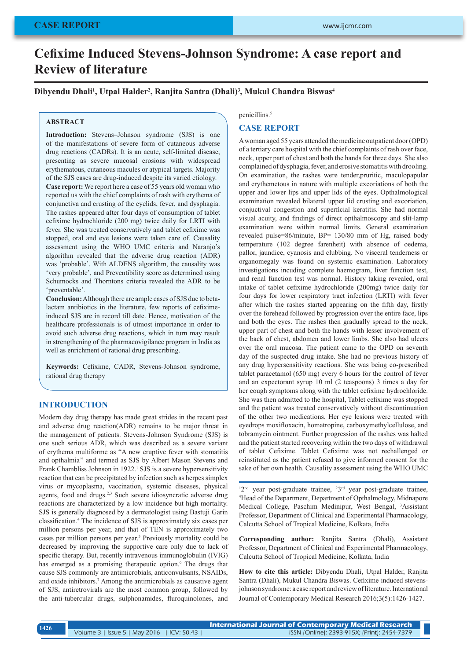# **Cefixime Induced Stevens-Johnson Syndrome: A case report and Review of literature**

**Dibyendu Dhali<sup>1</sup> , Utpal Halder<sup>2</sup> , Ranjita Santra (Dhali)<sup>3</sup> , Mukul Chandra Biswas<sup>4</sup>**

#### **ABSTRACT**

**Introduction:** Stevens–Johnson syndrome (SJS) is one of the manifestations of severe form of cutaneous adverse drug reactions (CADRs). It is an acute, self-limited disease, presenting as severe mucosal erosions with widespread erythematous, cutaneous macules or atypical targets. Majority of the SJS cases are drug-induced despite its varied etiology.

**Case report:** We report here a case of 55 years old woman who reported us with the chief complaints of rash with erythema of conjunctiva and crusting of the eyelids, fever, and dysphagia. The rashes appeared after four days of consumption of tablet cefixime hydrochloride (200 mg) twice daily for LRTI with fever. She was treated conservatively and tablet cefixime was stopped, oral and eye lesions were taken care of. Causality assessment using the WHO UMC criteria and Naranjo's algorithm revealed that the adverse drug reaction (ADR) was 'probable'. With ALDENS algorithm, the causality was 'very probable', and Preventibility score as determined using Schumocks and Thorntons criteria revealed the ADR to be 'preventable'.

**Conclusion:** Although there are ample cases of SJS due to betalactam antibiotics in the literature, few reports of cefiximeinduced SJS are in record till date. Hence, motivation of the healthcare professionals is of utmost importance in order to avoid such adverse drug reactions, which in turn may result in strengthening of the pharmacovigilance program in India as well as enrichment of rational drug prescribing.

**Keywords:** Cefixime, CADR, Stevens-Johnson syndrome, rational drug therapy

### **INTRODUCTION**

Modern day drug therapy has made great strides in the recent past and adverse drug reaction(ADR) remains to be major threat in the management of patients. Stevens-Johnson Syndrome (SJS) is one such serious ADR, which was described as a severe variant of erythema multiforme as "A new eruptive fever with stomatitis and opthalmia'' and termed as SJS by Albert Mason Stevens and Frank Chambliss Johnson in 1922.<sup>1</sup> SJS is a severe hypersensitivity reaction that can be precipitated by infection such as herpes simplex virus or mycoplasma, vaccination, systemic diseases, physical agents, food and drugs.2,3 Such severe idiosyncratic adverse drug reactions are characterized by a low incidence but high mortality. SJS is generally diagnosed by a dermatologist using Bastuji Garin classification.<sup>4</sup> The incidence of SJS is approximately six cases per million persons per year, and that of TEN is approximately two cases per million persons per year.5 Previously mortality could be decreased by improving the supportive care only due to lack of specific therapy. But, recently intravenous immunoglobulin (IVIG) has emerged as a promising therapeutic option.<sup>6</sup> The drugs that cause SJS commonly are antimicrobials, anticonvulsants, NSAIDs, and oxide inhibitors.<sup>7</sup> Among the antimicrobials as causative agent of SJS, antiretrovirals are the most common group, followed by the anti-tubercular drugs, sulphonamides, fluroquinolones, and

#### penicillins.<sup>5</sup>

#### **CASE REPORT**

A woman aged 55 years attended the medicine outpatient door (OPD) of a tertiary care hospital with the chief complaints of rash over face, neck, upper part of chest and both the hands for three days. She also complained of dysphagia, fever, and erosive stomatitis with drooling. On examination, the rashes were tender,pruritic, maculopapular and erythemetous in nature with multiple excoriations of both the upper and lower lips and upper lids of the eyes. Opthalmological examination revealed bilateral upper lid crusting and excoriation, conjuctival congestion and superficial keratitis. She had normal visual acuity, and findings of direct opthalmoscopy and slit-lamp examination were within normal limits. General examination revealed pulse=86/minute, BP= 130/80 mm of Hg, raised body temperature (102 degree farenheit) with absence of oedema, pallor, jaundice, cyanosis and clubbing. No visceral tenderness or organomegaly was found on systemic examination. Laboratory investigations incuding complete haemogram, liver function test, and renal function test was normal. History taking revealed, oral intake of tablet cefixime hydrochloride (200mg) twice daily for four days for lower respiratory tract infection (LRTI) with fever after which the rashes started appearing on the fifth day, firstly over the forehead followed by progression over the entire face, lips and both the eyes. The rashes then gradually spread to the neck, upper part of chest and both the hands with lesser involvement of the back of chest, abdomen and lower limbs. She also had ulcers over the oral mucosa. The patient came to the OPD on seventh day of the suspected drug intake. She had no previous history of any drug hypersensitivity reactions. She was being co-prescribed tablet paracetamol (650 mg) every 6 hours for the control of fever and an expectorant syrup 10 ml (2 teaspoons) 3 times a day for her cough symptoms along with the tablet cefixime hydrochloride. She was then admitted to the hospital, Tablet cefixime was stopped and the patient was treated conservatively without discontinuation of the other two medications. Her eye lesions were treated with eyedrops moxifloxacin, homatropine, carboxymethylcellulose, and tobramycin ointment. Further progression of the rashes was halted and the patient started recovering within the two days of withdrawal of tablet Cefixime. Tablet Cefixime was not rechallenged or reinstituted as the patient refused to give informed consent for the sake of her own health. Causality assessment using the WHO UMC

 $12<sup>nd</sup>$  year post-graduate trainee,  $23<sup>rd</sup>$  year post-graduate trainee,  $4H$ ead of the Department Department of Opthalmology Midnapore <sup>4</sup>Head of the Department, Department of Opthalmology, Midnapore Medical College, Paschim Medinipur, West Bengal, <sup>3</sup>Assistant Professor, Department of Clinical and Experimental Pharmacology, Calcutta School of Tropical Medicine, Kolkata, India

**Corresponding author:** Ranjita Santra (Dhali), Assistant Professor, Department of Clinical and Experimental Pharmacology, Calcutta School of Tropical Medicine, Kolkata, India

**How to cite this article:** Dibyendu Dhali, Utpal Halder, Ranjita Santra (Dhali), Mukul Chandra Biswas. Cefixime induced stevensjohnson syndrome: a case report and review of literature. International Journal of Contemporary Medical Research 2016;3(5):1426-1427.